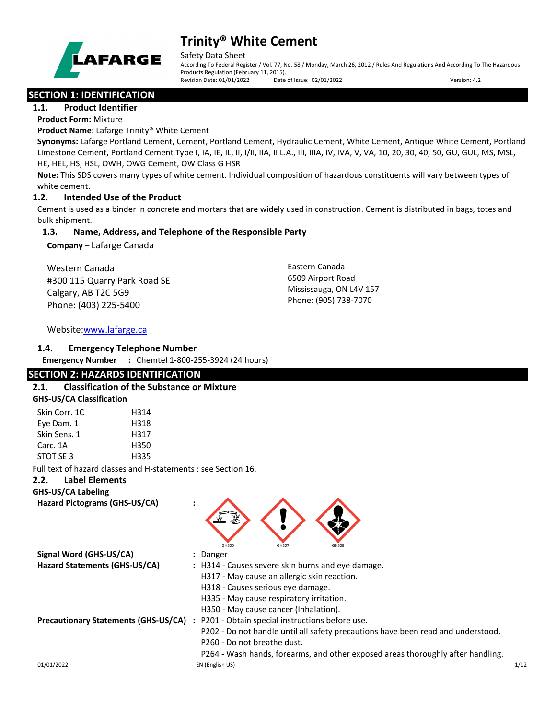

#### Safety Data Sheet

According To Federal Register / Vol. 77, No. 58 / Monday, March 26, 2012 / Rules And Regulations And According To The Hazardous Products Regulation (February 11, 2015). Revision Date: 01/01/2022 Date of Issue: 02/01/2022 Version: 4.2

# **SECTION 1: IDENTIFICATION**

### **1.1. Product Identifier**

**Product Form:** Mixture

**Product Name:** Lafarge Trinity® White Cement

**Synonyms:** Lafarge Portland Cement, Cement, Portland Cement, Hydraulic Cement, White Cement, Antique White Cement, Portland Limestone Cement, Portland Cement Type I, IA, IE, IL, II, I/II, IIA, II L.A., III, IIIA, IV, IVA, V, VA, 10, 20, 30, 40, 50, GU, GUL, MS, MSL, HE, HEL, HS, HSL, OWH, OWG Cement, OW Class G HSR

**Note:** This SDS covers many types of white cement. Individual composition of hazardous constituents will vary between types of white cement.

# **1.2. Intended Use of the Product**

Cement is used as a binder in concrete and mortars that are widely used in construction. Cement is distributed in bags, totes and bulk shipment.

# **1.3. Name, Address, and Telephone of the Responsible Party**

**Company** – Lafarge Canada

Western Canada #300 115 Quarry Park Road SE Calgary, AB T2C 5G9 Phone: (403) 225-5400

Eastern Canada 6509 Airport Road Mississauga, ON L4V 157 Phone: (905) 738-7070

# Website[:www.lafarge.ca](file://leon/customers/CUSTOMERS/Lafarge_North_America_Inc/Projects/Authoring_20180316/Batch_Folder/B_Draft_SDS/MS_Word_Files/www.lafarge.ca)

# **1.4. Emergency Telephone Number**

**Emergency Number :** Chemtel 1-800-255-3924 (24 hours)

# **SECTION 2: HAZARDS IDENTIFICATION**

| <b>GHS-US/CA Classification</b>         |     |
|-----------------------------------------|-----|
| $Cl_{\text{obs}}$ $C_{\text{new}}$ $4C$ | . . |

| Skin Corr. 1C | H314 |
|---------------|------|
| Eye Dam. 1    | H318 |
| Skin Sens. 1  | H317 |
| Carc. 1A      | H350 |
| STOT SF3      | H335 |
|               |      |

Full text of hazard classes and H-statements : see Section 16.

# **2.2. Label Elements**

**GHS-US/CA Labeling**

**Hazard Pictograms (GHS-US/CA) :**



| Signal Word (GHS-US/CA)              | : Danger                                                                         |      |
|--------------------------------------|----------------------------------------------------------------------------------|------|
| Hazard Statements (GHS-US/CA)        | : H314 - Causes severe skin burns and eye damage.                                |      |
|                                      | H317 - May cause an allergic skin reaction.                                      |      |
|                                      | H318 - Causes serious eye damage.                                                |      |
|                                      | H335 - May cause respiratory irritation.                                         |      |
|                                      | H350 - May cause cancer (Inhalation).                                            |      |
| Precautionary Statements (GHS-US/CA) | : P201 - Obtain special instructions before use.                                 |      |
|                                      | P202 - Do not handle until all safety precautions have been read and understood. |      |
|                                      | P260 - Do not breathe dust.                                                      |      |
|                                      | P264 - Wash hands, forearms, and other exposed areas thoroughly after handling.  |      |
| 01/01/2022                           | EN (English US)                                                                  | 1/12 |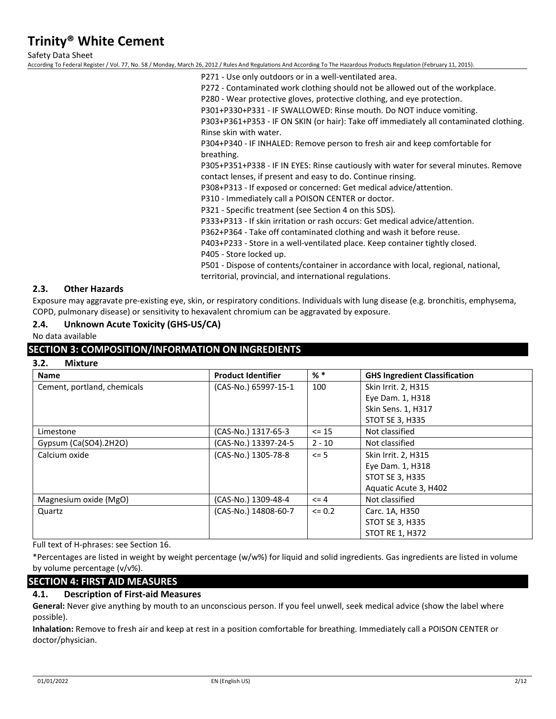Safety Data Sheet

According To Federal Register / Vol. 77, No. 58 / Monday, March 26, 2012 / Rules And Regulations And According To The Hazardous Products Regulation (February 11, 2015).

P271 - Use only outdoors or in a well-ventilated area.

P272 - Contaminated work clothing should not be allowed out of the workplace.

P280 - Wear protective gloves, protective clothing, and eye protection.

P301+P330+P331 - IF SWALLOWED: Rinse mouth. Do NOT induce vomiting.

P303+P361+P353 - IF ON SKIN (or hair): Take off immediately all contaminated clothing. Rinse skin with water.

P304+P340 - IF INHALED: Remove person to fresh air and keep comfortable for breathing.

P305+P351+P338 - IF IN EYES: Rinse cautiously with water for several minutes. Remove contact lenses, if present and easy to do. Continue rinsing.

P308+P313 - If exposed or concerned: Get medical advice/attention.

P310 - Immediately call a POISON CENTER or doctor.

P321 - Specific treatment (see Section 4 on this SDS).

P333+P313 - If skin irritation or rash occurs: Get medical advice/attention.

P362+P364 - Take off contaminated clothing and wash it before reuse.

P403+P233 - Store in a well-ventilated place. Keep container tightly closed.

P405 - Store locked up.

P501 - Dispose of contents/container in accordance with local, regional, national, territorial, provincial, and international regulations.

### **2.3. Other Hazards**

Exposure may aggravate pre-existing eye, skin, or respiratory conditions. Individuals with lung disease (e.g. bronchitis, emphysema, COPD, pulmonary disease) or sensitivity to hexavalent chromium can be aggravated by exposure.

### **2.4. Unknown Acute Toxicity (GHS-US/CA)**

No data available

### **SECTION 3: COMPOSITION/INFORMATION ON INGREDIENTS**

**3.2. Mixture**

| <b>Name</b>                 | <b>Product Identifier</b> | $%$ *      | <b>GHS Ingredient Classification</b> |
|-----------------------------|---------------------------|------------|--------------------------------------|
| Cement, portland, chemicals | (CAS-No.) 65997-15-1      | 100        | Skin Irrit. 2, H315                  |
|                             |                           |            | Eye Dam. 1, H318                     |
|                             |                           |            | Skin Sens. 1, H317                   |
|                             |                           |            | <b>STOT SE 3, H335</b>               |
| Limestone                   | (CAS-No.) 1317-65-3       | $\leq$ 15  | Not classified                       |
| Gypsum $(Ca(SO4).2H2O)$     | (CAS-No.) 13397-24-5      | $2 - 10$   | Not classified                       |
| Calcium oxide               | (CAS-No.) 1305-78-8       | $\leq$ 5   | Skin Irrit. 2, H315                  |
|                             |                           |            | Eye Dam. 1, H318                     |
|                             |                           |            | <b>STOT SE 3, H335</b>               |
|                             |                           |            | Aquatic Acute 3, H402                |
| Magnesium oxide (MgO)       | (CAS-No.) 1309-48-4       | $\leq 4$   | Not classified                       |
| Quartz                      | (CAS-No.) 14808-60-7      | $\leq 0.2$ | Carc. 1A, H350                       |
|                             |                           |            | <b>STOT SE 3, H335</b>               |
|                             |                           |            | <b>STOT RE 1, H372</b>               |

Full text of H-phrases: see Section 16.

\*Percentages are listed in weight by weight percentage (w/w%) for liquid and solid ingredients. Gas ingredients are listed in volume by volume percentage (v/v%).

# **SECTION 4: FIRST AID MEASURES**

### **4.1. Description of First-aid Measures**

**General:** Never give anything by mouth to an unconscious person. If you feel unwell, seek medical advice (show the label where possible).

**Inhalation:** Remove to fresh air and keep at rest in a position comfortable for breathing. Immediately call a POISON CENTER or doctor/physician.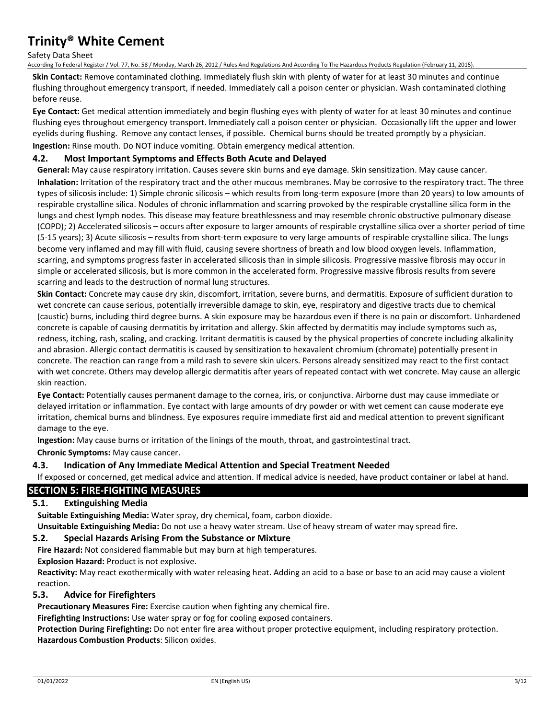Safety Data Sheet

According To Federal Register / Vol. 77, No. 58 / Monday, March 26, 2012 / Rules And Regulations And According To The Hazardous Products Regulation (February 11, 2015).

**Skin Contact:** Remove contaminated clothing. Immediately flush skin with plenty of water for at least 30 minutes and continue flushing throughout emergency transport, if needed. Immediately call a poison center or physician. Wash contaminated clothing before reuse.

**Eye Contact:** Get medical attention immediately and begin flushing eyes with plenty of water for at least 30 minutes and continue flushing eyes throughout emergency transport. Immediately call a poison center or physician. Occasionally lift the upper and lower eyelids during flushing. Remove any contact lenses, if possible. Chemical burns should be treated promptly by a physician. **Ingestion:** Rinse mouth. Do NOT induce vomiting. Obtain emergency medical attention.

# **4.2. Most Important Symptoms and Effects Both Acute and Delayed**

**General:** May cause respiratory irritation. Causes severe skin burns and eye damage. Skin sensitization. May cause cancer. **Inhalation:** Irritation of the respiratory tract and the other mucous membranes. May be corrosive to the respiratory tract. The three types of silicosis include: 1) Simple chronic silicosis – which results from long-term exposure (more than 20 years) to low amounts of respirable crystalline silica. Nodules of chronic inflammation and scarring provoked by the respirable crystalline silica form in the lungs and chest lymph nodes. This disease may feature breathlessness and may resemble chronic obstructive pulmonary disease (COPD); 2) Accelerated silicosis – occurs after exposure to larger amounts of respirable crystalline silica over a shorter period of time (5-15 years); 3) Acute silicosis – results from short-term exposure to very large amounts of respirable crystalline silica. The lungs become very inflamed and may fill with fluid, causing severe shortness of breath and low blood oxygen levels. Inflammation, scarring, and symptoms progress faster in accelerated silicosis than in simple silicosis. Progressive massive fibrosis may occur in simple or accelerated silicosis, but is more common in the accelerated form. Progressive massive fibrosis results from severe scarring and leads to the destruction of normal lung structures.

**Skin Contact:** Concrete may cause dry skin, discomfort, irritation, severe burns, and dermatitis. Exposure of sufficient duration to wet concrete can cause serious, potentially irreversible damage to skin, eye, respiratory and digestive tracts due to chemical (caustic) burns, including third degree burns. A skin exposure may be hazardous even if there is no pain or discomfort. Unhardened concrete is capable of causing dermatitis by irritation and allergy. Skin affected by dermatitis may include symptoms such as, redness, itching, rash, scaling, and cracking. Irritant dermatitis is caused by the physical properties of concrete including alkalinity and abrasion. Allergic contact dermatitis is caused by sensitization to hexavalent chromium (chromate) potentially present in concrete. The reaction can range from a mild rash to severe skin ulcers. Persons already sensitized may react to the first contact with wet concrete. Others may develop allergic dermatitis after years of repeated contact with wet concrete. May cause an allergic skin reaction.

**Eye Contact:** Potentially causes permanent damage to the cornea, iris, or conjunctiva. Airborne dust may cause immediate or delayed irritation or inflammation. Eye contact with large amounts of dry powder or with wet cement can cause moderate eye irritation, chemical burns and blindness. Eye exposures require immediate first aid and medical attention to prevent significant damage to the eye.

**Ingestion:** May cause burns or irritation of the linings of the mouth, throat, and gastrointestinal tract.

**Chronic Symptoms:** May cause cancer.

### **4.3. Indication of Any Immediate Medical Attention and Special Treatment Needed**

If exposed or concerned, get medical advice and attention. If medical advice is needed, have product container or label at hand.

# **SECTION 5: FIRE-FIGHTING MEASURES**

### **5.1. Extinguishing Media**

**Suitable Extinguishing Media:** Water spray, dry chemical, foam, carbon dioxide.

**Unsuitable Extinguishing Media:** Do not use a heavy water stream. Use of heavy stream of water may spread fire.

### **5.2. Special Hazards Arising From the Substance or Mixture**

**Fire Hazard:** Not considered flammable but may burn at high temperatures.

**Explosion Hazard:** Product is not explosive.

**Reactivity:** May react exothermically with water releasing heat. Adding an acid to a base or base to an acid may cause a violent reaction.

### **5.3. Advice for Firefighters**

**Precautionary Measures Fire:** Exercise caution when fighting any chemical fire.

**Firefighting Instructions:** Use water spray or fog for cooling exposed containers.

**Protection During Firefighting:** Do not enter fire area without proper protective equipment, including respiratory protection. **Hazardous Combustion Products**: Silicon oxides.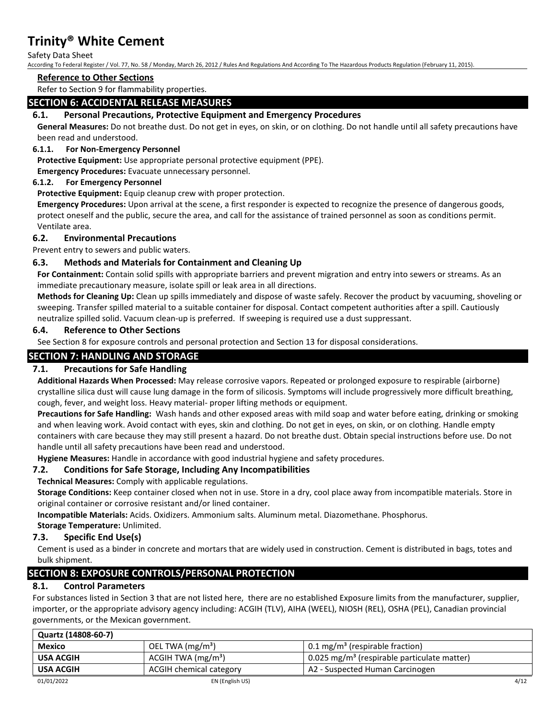Safety Data Sheet

According To Federal Register / Vol. 77, No. 58 / Monday, March 26, 2012 / Rules And Regulations And According To The Hazardous Products Regulation (February 11, 2015).

#### **Reference to Other Sections**

Refer to Section 9 for flammability properties.

# **SECTION 6: ACCIDENTAL RELEASE MEASURES**

# **6.1. Personal Precautions, Protective Equipment and Emergency Procedures**

**General Measures:** Do not breathe dust. Do not get in eyes, on skin, or on clothing. Do not handle until all safety precautions have been read and understood.

### **6.1.1. For Non-Emergency Personnel**

**Protective Equipment:** Use appropriate personal protective equipment (PPE).

**Emergency Procedures:** Evacuate unnecessary personnel.

### **6.1.2. For Emergency Personnel**

**Protective Equipment:** Equip cleanup crew with proper protection.

**Emergency Procedures:** Upon arrival at the scene, a first responder is expected to recognize the presence of dangerous goods, protect oneself and the public, secure the area, and call for the assistance of trained personnel as soon as conditions permit. Ventilate area.

### **6.2. Environmental Precautions**

Prevent entry to sewers and public waters.

# **6.3. Methods and Materials for Containment and Cleaning Up**

**For Containment:** Contain solid spills with appropriate barriers and prevent migration and entry into sewers or streams. As an immediate precautionary measure, isolate spill or leak area in all directions.

**Methods for Cleaning Up:** Clean up spills immediately and dispose of waste safely. Recover the product by vacuuming, shoveling or sweeping. Transfer spilled material to a suitable container for disposal. Contact competent authorities after a spill. Cautiously neutralize spilled solid. Vacuum clean-up is preferred. If sweeping is required use a dust suppressant.

### **6.4. Reference to Other Sections**

See Section 8 for exposure controls and personal protection and Section 13 for disposal considerations.

# **SECTION 7: HANDLING AND STORAGE**

### **7.1. Precautions for Safe Handling**

**Additional Hazards When Processed:** May release corrosive vapors. Repeated or prolonged exposure to respirable (airborne) crystalline silica dust will cause lung damage in the form of silicosis. Symptoms will include progressively more difficult breathing, cough, fever, and weight loss. Heavy material- proper lifting methods or equipment.

**Precautions for Safe Handling:** Wash hands and other exposed areas with mild soap and water before eating, drinking or smoking and when leaving work. Avoid contact with eyes, skin and clothing. Do not get in eyes, on skin, or on clothing. Handle empty containers with care because they may still present a hazard. Do not breathe dust. Obtain special instructions before use. Do not handle until all safety precautions have been read and understood.

**Hygiene Measures:** Handle in accordance with good industrial hygiene and safety procedures.

# **7.2. Conditions for Safe Storage, Including Any Incompatibilities**

**Technical Measures:** Comply with applicable regulations.

**Storage Conditions:** Keep container closed when not in use. Store in a dry, cool place away from incompatible materials. Store in original container or corrosive resistant and/or lined container.

**Incompatible Materials:** Acids. Oxidizers. Ammonium salts. Aluminum metal. Diazomethane. Phosphorus.

**Storage Temperature:** Unlimited.

### **7.3. Specific End Use(s)**

Cement is used as a binder in concrete and mortars that are widely used in construction. Cement is distributed in bags, totes and bulk shipment.

# **SECTION 8: EXPOSURE CONTROLS/PERSONAL PROTECTION**

# **8.1. Control Parameters**

For substances listed in Section 3 that are not listed here, there are no established Exposure limits from the manufacturer, supplier, importer, or the appropriate advisory agency including: ACGIH (TLV), AIHA (WEEL), NIOSH (REL), OSHA (PEL), Canadian provincial governments, or the Mexican government.

| Quartz (14808-60-7) |                         |                                                         |      |
|---------------------|-------------------------|---------------------------------------------------------|------|
| <b>Mexico</b>       | OEL TWA $(mg/m3)$       | 0.1 mg/m <sup>3</sup> (respirable fraction)             |      |
| <b>USA ACGIH</b>    | ACGIH TWA $(mg/m3)$     | 0.025 mg/m <sup>3</sup> (respirable particulate matter) |      |
| <b>USA ACGIH</b>    | ACGIH chemical category | A2 - Suspected Human Carcinogen                         |      |
| 01/01/2022          | EN (English US)         |                                                         | 4/12 |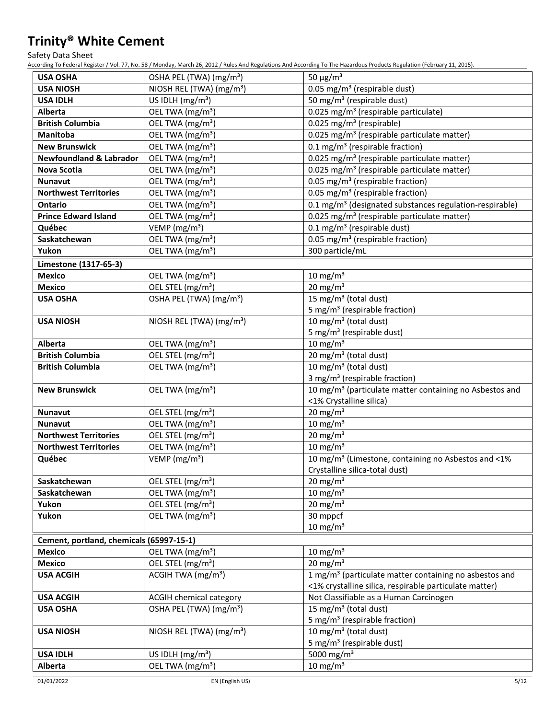Safety Data Sheet

According To Federal Register / Vol. 77, No. 58 / Monday, March 26, 2012 / Rules And Regulations And According To The Hazardous Products Regulation (February 11, 2015).

| <b>USA OSHA</b>                          | OSHA PEL (TWA) (mg/m <sup>3</sup> )  | 50 $\mu$ g/m <sup>3</sup>                                           |
|------------------------------------------|--------------------------------------|---------------------------------------------------------------------|
| <b>USA NIOSH</b>                         | NIOSH REL (TWA) (mg/m <sup>3</sup> ) | 0.05 mg/m <sup>3</sup> (respirable dust)                            |
| <b>USA IDLH</b>                          | US IDLH $(mg/m3)$                    | 50 mg/m <sup>3</sup> (respirable dust)                              |
| Alberta                                  | OEL TWA (mg/m <sup>3</sup> )         | 0.025 mg/m <sup>3</sup> (respirable particulate)                    |
| <b>British Columbia</b>                  | OEL TWA (mg/m <sup>3</sup> )         | 0.025 mg/m <sup>3</sup> (respirable)                                |
| Manitoba                                 | OEL TWA (mg/m <sup>3</sup> )         | 0.025 mg/m <sup>3</sup> (respirable particulate matter)             |
| <b>New Brunswick</b>                     | OEL TWA (mg/m <sup>3</sup> )         | 0.1 mg/m <sup>3</sup> (respirable fraction)                         |
| <b>Newfoundland &amp; Labrador</b>       | OEL TWA (mg/m <sup>3</sup> )         | 0.025 mg/m <sup>3</sup> (respirable particulate matter)             |
| <b>Nova Scotia</b>                       | OEL TWA (mg/m <sup>3</sup> )         | 0.025 mg/m <sup>3</sup> (respirable particulate matter)             |
| <b>Nunavut</b>                           | OEL TWA (mg/m <sup>3</sup> )         | 0.05 mg/m <sup>3</sup> (respirable fraction)                        |
| <b>Northwest Territories</b>             | OEL TWA (mg/m <sup>3</sup> )         | 0.05 mg/m <sup>3</sup> (respirable fraction)                        |
| <b>Ontario</b>                           | OEL TWA (mg/m <sup>3</sup> )         | 0.1 mg/m <sup>3</sup> (designated substances regulation-respirable) |
| <b>Prince Edward Island</b>              | OEL TWA (mg/m <sup>3</sup> )         | 0.025 mg/m <sup>3</sup> (respirable particulate matter)             |
| Québec                                   | VEMP ( $mg/m3$ )                     | $0.1 \text{ mg/m}^3$ (respirable dust)                              |
| Saskatchewan                             | OEL TWA (mg/m <sup>3</sup> )         | 0.05 mg/m <sup>3</sup> (respirable fraction)                        |
| Yukon                                    | OEL TWA (mg/m <sup>3</sup> )         | 300 particle/mL                                                     |
| Limestone (1317-65-3)                    |                                      |                                                                     |
| <b>Mexico</b>                            | OEL TWA (mg/m <sup>3</sup> )         | $10 \text{ mg/m}^3$                                                 |
| <b>Mexico</b>                            | OEL STEL (mg/m <sup>3</sup> )        | $20 \text{ mg/m}^3$                                                 |
| <b>USA OSHA</b>                          | OSHA PEL (TWA) (mg/m <sup>3</sup> )  | 15 mg/m <sup>3</sup> (total dust)                                   |
|                                          |                                      | 5 mg/m <sup>3</sup> (respirable fraction)                           |
| <b>USA NIOSH</b>                         | NIOSH REL (TWA) (mg/m <sup>3</sup> ) | 10 mg/m <sup>3</sup> (total dust)                                   |
|                                          |                                      | 5 mg/m <sup>3</sup> (respirable dust)                               |
| Alberta                                  | OEL TWA (mg/m <sup>3</sup> )         | 10 mg/m $3$                                                         |
| <b>British Columbia</b>                  | OEL STEL (mg/m <sup>3</sup> )        | 20 mg/m <sup>3</sup> (total dust)                                   |
| <b>British Columbia</b>                  | OEL TWA (mg/m <sup>3</sup> )         | 10 mg/m <sup>3</sup> (total dust)                                   |
|                                          |                                      | 3 mg/m <sup>3</sup> (respirable fraction)                           |
| <b>New Brunswick</b>                     | OEL TWA (mg/m <sup>3</sup> )         | 10 mg/m <sup>3</sup> (particulate matter containing no Asbestos and |
|                                          |                                      | <1% Crystalline silica)                                             |
| <b>Nunavut</b>                           | OEL STEL (mg/m <sup>3</sup> )        | $20 \text{ mg/m}^3$                                                 |
| <b>Nunavut</b>                           | OEL TWA (mg/m <sup>3</sup> )         | $10 \text{ mg/m}^3$                                                 |
| <b>Northwest Territories</b>             | OEL STEL (mg/m <sup>3</sup> )        | $20 \text{ mg/m}^3$                                                 |
| <b>Northwest Territories</b>             | OEL TWA (mg/m <sup>3</sup> )         | 10 mg/m $3$                                                         |
| Québec                                   | VEMP ( $mg/m3$ )                     | 10 mg/m <sup>3</sup> (Limestone, containing no Asbestos and <1%     |
|                                          |                                      | Crystalline silica-total dust)                                      |
| Saskatchewan                             | OEL STEL (mg/m <sup>3</sup> )        | 20 mg/m $3$                                                         |
| Saskatchewan                             | OEL TWA (mg/m <sup>3</sup> )         | 10 mg/m $3$                                                         |
| Yukon                                    | OEL STEL (mg/m <sup>3</sup> )        | 20 mg/m $3$                                                         |
| Yukon                                    | OEL TWA (mg/m <sup>3</sup> )         | 30 mppcf                                                            |
|                                          |                                      | $10 \text{ mg/m}^3$                                                 |
| Cement, portland, chemicals (65997-15-1) |                                      |                                                                     |
| <b>Mexico</b>                            | OEL TWA (mg/m <sup>3</sup> )         | $10 \text{ mg/m}^3$                                                 |
| <b>Mexico</b>                            | OEL STEL (mg/m <sup>3</sup> )        | $20 \text{ mg/m}^3$                                                 |
| <b>USA ACGIH</b>                         | ACGIH TWA (mg/m <sup>3</sup> )       | 1 mg/m <sup>3</sup> (particulate matter containing no asbestos and  |
|                                          |                                      | <1% crystalline silica, respirable particulate matter)              |
| <b>USA ACGIH</b>                         | ACGIH chemical category              | Not Classifiable as a Human Carcinogen                              |
| <b>USA OSHA</b>                          | OSHA PEL (TWA) (mg/m <sup>3</sup> )  | 15 mg/m <sup>3</sup> (total dust)                                   |
|                                          |                                      | 5 mg/m <sup>3</sup> (respirable fraction)                           |
| <b>USA NIOSH</b>                         | NIOSH REL (TWA) $(mg/m3)$            | 10 mg/m <sup>3</sup> (total dust)                                   |
|                                          |                                      | 5 mg/m <sup>3</sup> (respirable dust)                               |
| <b>USA IDLH</b>                          | US IDLH $(mg/m3)$                    | 5000 mg/m <sup>3</sup>                                              |
| Alberta                                  | OEL TWA (mg/m <sup>3</sup> )         | $10 \text{ mg/m}^3$                                                 |
|                                          |                                      |                                                                     |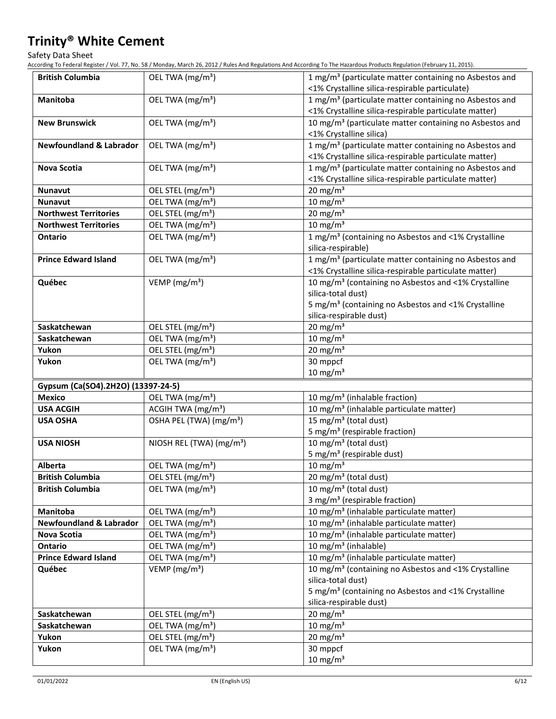Safety Data Sheet

According To Federal Register / Vol. 77, No. 58 / Monday, March 26, 2012 / Rules And Regulations And According To The Hazardous Products Regulation (February 11, 2015).

| <b>British Columbia</b>            | OEL TWA (mg/m <sup>3</sup> )         | 1 mg/m <sup>3</sup> (particulate matter containing no Asbestos and  |
|------------------------------------|--------------------------------------|---------------------------------------------------------------------|
|                                    |                                      | <1% Crystalline silica-respirable particulate)                      |
| <b>Manitoba</b>                    | OEL TWA (mg/m <sup>3</sup> )         | 1 mg/m <sup>3</sup> (particulate matter containing no Asbestos and  |
|                                    |                                      | <1% Crystalline silica-respirable particulate matter)               |
| <b>New Brunswick</b>               | OEL TWA (mg/m <sup>3</sup> )         | 10 mg/m <sup>3</sup> (particulate matter containing no Asbestos and |
|                                    |                                      | <1% Crystalline silica)                                             |
| <b>Newfoundland &amp; Labrador</b> | OEL TWA (mg/m <sup>3</sup> )         | 1 mg/m <sup>3</sup> (particulate matter containing no Asbestos and  |
|                                    |                                      | <1% Crystalline silica-respirable particulate matter)               |
| Nova Scotia                        | OEL TWA (mg/m <sup>3</sup> )         | 1 mg/m <sup>3</sup> (particulate matter containing no Asbestos and  |
|                                    |                                      | <1% Crystalline silica-respirable particulate matter)               |
| <b>Nunavut</b>                     | OEL STEL (mg/m <sup>3</sup> )        | $20 \text{ mg/m}^3$                                                 |
| <b>Nunavut</b>                     | OEL TWA (mg/m <sup>3</sup> )         | 10 mg/m $3$                                                         |
| <b>Northwest Territories</b>       | OEL STEL (mg/m <sup>3</sup> )        | $20 \text{ mg/m}^3$                                                 |
| <b>Northwest Territories</b>       | OEL TWA (mg/m <sup>3</sup> )         | 10 mg/m $3$                                                         |
| <b>Ontario</b>                     | OEL TWA (mg/m <sup>3</sup> )         | 1 mg/m <sup>3</sup> (containing no Asbestos and <1% Crystalline     |
|                                    |                                      | silica-respirable)                                                  |
| <b>Prince Edward Island</b>        | OEL TWA (mg/m <sup>3</sup> )         | 1 mg/m <sup>3</sup> (particulate matter containing no Asbestos and  |
|                                    |                                      | <1% Crystalline silica-respirable particulate matter)               |
| Québec                             | VEMP (mg/m <sup>3</sup> )            | 10 mg/m <sup>3</sup> (containing no Asbestos and <1% Crystalline    |
|                                    |                                      | silica-total dust)                                                  |
|                                    |                                      | 5 mg/m <sup>3</sup> (containing no Asbestos and <1% Crystalline     |
|                                    |                                      | silica-respirable dust)                                             |
| Saskatchewan                       | OEL STEL (mg/m <sup>3</sup> )        | $20 \text{ mg/m}^3$                                                 |
| Saskatchewan                       | OEL TWA (mg/m <sup>3</sup> )         | $10$ mg/m <sup>3</sup>                                              |
| Yukon                              | OEL STEL (mg/m <sup>3</sup> )        | $20$ mg/m <sup>3</sup>                                              |
| Yukon                              | OEL TWA (mg/m <sup>3</sup> )         | 30 mppcf                                                            |
|                                    |                                      | $10 \text{ mg/m}^3$                                                 |
| Gypsum (Ca(SO4).2H2O) (13397-24-5) |                                      |                                                                     |
| <b>Mexico</b>                      | OEL TWA (mg/m <sup>3</sup> )         | 10 mg/m <sup>3</sup> (inhalable fraction)                           |
| <b>USA ACGIH</b>                   | ACGIH TWA (mg/m <sup>3</sup> )       | 10 mg/m <sup>3</sup> (inhalable particulate matter)                 |
| <b>USA OSHA</b>                    | OSHA PEL (TWA) (mg/m <sup>3</sup> )  | 15 mg/m <sup>3</sup> (total dust)                                   |
|                                    |                                      | 5 mg/m <sup>3</sup> (respirable fraction)                           |
| <b>USA NIOSH</b>                   | NIOSH REL (TWA) (mg/m <sup>3</sup> ) | 10 mg/m <sup>3</sup> (total dust)                                   |
|                                    |                                      | 5 mg/m <sup>3</sup> (respirable dust)                               |
| Alberta                            | OEL TWA (mg/m <sup>3</sup> )         | 10 mg/m $3$                                                         |
| <b>British Columbia</b>            | OEL STEL (mg/m <sup>3</sup> )        | 20 mg/m <sup>3</sup> (total dust)                                   |
| <b>British Columbia</b>            | OEL TWA (mg/m <sup>3</sup> )         | 10 mg/m <sup>3</sup> (total dust)                                   |
|                                    |                                      | 3 mg/m <sup>3</sup> (respirable fraction)                           |
| <b>Manitoba</b>                    | OEL TWA (mg/m <sup>3</sup> )         | 10 mg/m <sup>3</sup> (inhalable particulate matter)                 |
| <b>Newfoundland &amp; Labrador</b> | OEL TWA (mg/m <sup>3</sup> )         | 10 mg/m <sup>3</sup> (inhalable particulate matter)                 |
| Nova Scotia                        | OEL TWA (mg/m <sup>3</sup> )         | 10 mg/m <sup>3</sup> (inhalable particulate matter)                 |
| Ontario                            | OEL TWA (mg/m <sup>3</sup> )         | 10 mg/m <sup>3</sup> (inhalable)                                    |
| <b>Prince Edward Island</b>        | OEL TWA (mg/m <sup>3</sup> )         | 10 mg/m <sup>3</sup> (inhalable particulate matter)                 |
| Québec                             | VEMP ( $mg/m3$ )                     | 10 mg/m <sup>3</sup> (containing no Asbestos and <1% Crystalline    |
|                                    |                                      | silica-total dust)                                                  |
|                                    |                                      | 5 mg/m <sup>3</sup> (containing no Asbestos and <1% Crystalline     |
|                                    |                                      | silica-respirable dust)                                             |
| Saskatchewan                       | OEL STEL (mg/m <sup>3</sup> )        | $20$ mg/m <sup>3</sup>                                              |
| Saskatchewan                       | OEL TWA (mg/m <sup>3</sup> )         | 10 mg/m $3$                                                         |
| Yukon                              | OEL STEL (mg/m <sup>3</sup> )        | 20 mg/m $3$                                                         |
| Yukon                              | OEL TWA (mg/m <sup>3</sup> )         | 30 mppcf                                                            |
|                                    |                                      | $10 \text{ mg/m}^3$                                                 |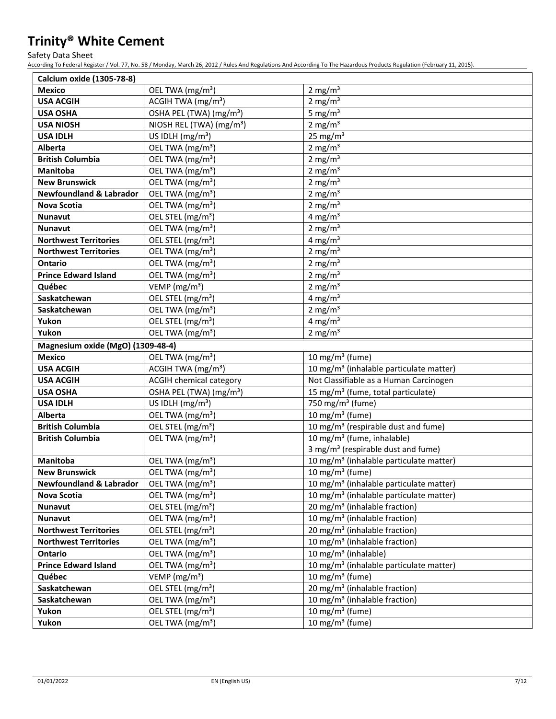Safety Data Sheet

According To Federal Register / Vol. 77, No. 58 / Monday, March 26, 2012 / Rules And Regulations And According To The Hazardous Products Regulation (February 11, 2015).

| Calcium oxide (1305-78-8)          |                                      |                                                        |
|------------------------------------|--------------------------------------|--------------------------------------------------------|
| <b>Mexico</b>                      | OEL TWA (mg/m <sup>3</sup> )         | 2 mg/ $m3$                                             |
| <b>USA ACGIH</b>                   | ACGIH TWA (mg/m <sup>3</sup> )       | 2 mg/ $m3$                                             |
| <b>USA OSHA</b>                    | OSHA PEL (TWA) (mg/m <sup>3</sup> )  | 5 mg/ $m3$                                             |
| <b>USA NIOSH</b>                   | NIOSH REL (TWA) (mg/m <sup>3</sup> ) | 2 mg/ $m3$                                             |
| <b>USA IDLH</b>                    | US IDLH $(mg/m3)$                    | $25 \text{ mg/m}^3$                                    |
| <b>Alberta</b>                     | OEL TWA (mg/m <sup>3</sup> )         | 2 mg/m $3$                                             |
| <b>British Columbia</b>            | OEL TWA (mg/m <sup>3</sup> )         | 2 mg/ $m3$                                             |
| <b>Manitoba</b>                    | OEL TWA (mg/m <sup>3</sup> )         | 2 mg/ $m3$                                             |
| <b>New Brunswick</b>               | OEL TWA (mg/m <sup>3</sup> )         | 2 mg/ $m3$                                             |
| <b>Newfoundland &amp; Labrador</b> | OEL TWA (mg/m <sup>3</sup> )         | 2 mg/ $m3$                                             |
| <b>Nova Scotia</b>                 | OEL TWA (mg/m <sup>3</sup> )         | 2 mg/ $m3$                                             |
| Nunavut                            | OEL STEL (mg/m <sup>3</sup> )        | 4 mg/m <sup>3</sup>                                    |
| <b>Nunavut</b>                     | OEL TWA (mg/m <sup>3</sup> )         | 2 mg/ $m3$                                             |
| <b>Northwest Territories</b>       | OEL STEL (mg/m <sup>3</sup> )        | 4 mg/m <sup>3</sup>                                    |
| <b>Northwest Territories</b>       | OEL TWA (mg/m <sup>3</sup> )         | 2 mg/ $m3$                                             |
| Ontario                            | OEL TWA (mg/m <sup>3</sup> )         | 2 mg/ $m3$                                             |
| <b>Prince Edward Island</b>        | OEL TWA (mg/m <sup>3</sup> )         | 2 mg/ $m3$                                             |
| Québec                             | VEMP (mg/m <sup>3</sup> )            | 2 mg/ $m3$                                             |
| Saskatchewan                       | OEL STEL (mg/m <sup>3</sup> )        | 4 mg/m $3$                                             |
| Saskatchewan                       | OEL TWA (mg/m <sup>3</sup> )         | 2 mg/m $3$                                             |
| Yukon                              | OEL STEL (mg/m <sup>3</sup> )        | 4 mg/m $3$                                             |
| Yukon                              | OEL TWA (mg/m <sup>3</sup> )         | 2 mg/m $3$                                             |
| Magnesium oxide (MgO) (1309-48-4)  |                                      |                                                        |
| <b>Mexico</b>                      | OEL TWA (mg/m <sup>3</sup> )         | 10 mg/m <sup>3</sup> (fume)                            |
| <b>USA ACGIH</b>                   | ACGIH TWA $(mg/m3)$                  | 10 mg/m <sup>3</sup> (inhalable particulate matter)    |
| <b>USA ACGIH</b>                   | <b>ACGIH chemical category</b>       | Not Classifiable as a Human Carcinogen                 |
| <b>USA OSHA</b>                    | OSHA PEL (TWA) (mg/m <sup>3</sup> )  | 15 mg/m <sup>3</sup> (fume, total particulate)         |
| <b>USA IDLH</b>                    | US IDLH (mg/m <sup>3</sup> )         | 750 mg/m <sup>3</sup> (fume)                           |
| Alberta                            | OEL TWA (mg/m <sup>3</sup> )         | 10 mg/m $3$ (fume)                                     |
| <b>British Columbia</b>            | OEL STEL (mg/m <sup>3</sup> )        | 10 mg/m <sup>3</sup> (respirable dust and fume)        |
| <b>British Columbia</b>            | OEL TWA (mg/m <sup>3</sup> )         | 10 mg/m <sup>3</sup> (fume, inhalable)                 |
|                                    |                                      | 3 mg/m <sup>3</sup> (respirable dust and fume)         |
| <b>Manitoba</b>                    | OEL TWA (mg/m <sup>3</sup> )         | 10 mg/m <sup>3</sup> (inhalable particulate matter)    |
| <b>New Brunswick</b>               | OEL TWA (mg/m <sup>3</sup> )         | 10 mg/m $3$ (fume)                                     |
| <b>Newfoundland &amp; Labrador</b> | OEL TWA (mg/m <sup>3</sup> )         | 10 mg/m <sup>3</sup> (inhalable particulate matter)    |
| Nova Scotia                        | OEL TWA (mg/m <sup>3</sup> )         | 10 mg/m <sup>3</sup> (inhalable particulate matter)    |
| <b>Nunavut</b>                     | OEL STEL (mg/m <sup>3</sup> )        | 20 mg/m <sup>3</sup> (inhalable fraction)              |
| Nunavut                            | OEL TWA (mg/m <sup>3</sup> )         | 10 mg/m <sup>3</sup> (inhalable fraction)              |
| <b>Northwest Territories</b>       | OEL STEL (mg/m <sup>3</sup> )        | $\overline{20}$ mg/m <sup>3</sup> (inhalable fraction) |
| <b>Northwest Territories</b>       | OEL TWA (mg/m <sup>3</sup> )         | 10 mg/m <sup>3</sup> (inhalable fraction)              |
| Ontario                            | OEL TWA (mg/m <sup>3</sup> )         | 10 mg/m <sup>3</sup> (inhalable)                       |
| <b>Prince Edward Island</b>        | OEL TWA (mg/m <sup>3</sup> )         | 10 mg/m <sup>3</sup> (inhalable particulate matter)    |
| Québec                             | VEMP ( $mg/m3$ )                     | 10 mg/m <sup>3</sup> (fume)                            |
| Saskatchewan                       | OEL STEL (mg/m <sup>3</sup> )        | 20 mg/m <sup>3</sup> (inhalable fraction)              |
| Saskatchewan                       | OEL TWA (mg/m <sup>3</sup> )         | 10 mg/m <sup>3</sup> (inhalable fraction)              |
| Yukon                              | OEL STEL (mg/m <sup>3</sup> )        | 10 mg/m $3$ (fume)                                     |
| Yukon                              | OEL TWA (mg/m <sup>3</sup> )         | 10 mg/m <sup>3</sup> (fume)                            |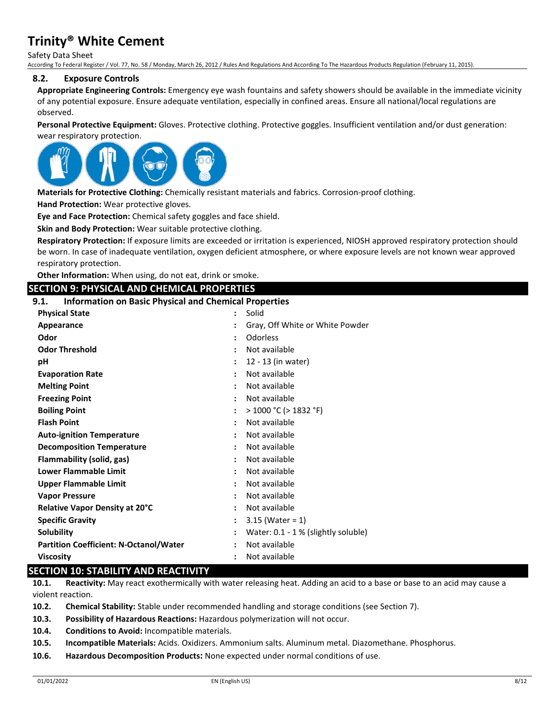Safety Data Sheet According To Federal Register / Vol. 77, No. 58 / Monday, March 26, 2012 / Rules And Regulations And According To The Hazardous Products Regulation (February 11, 2015).

### **8.2. Exposure Controls**

**Appropriate Engineering Controls:** Emergency eye wash fountains and safety showers should be available in the immediate vicinity of any potential exposure. Ensure adequate ventilation, especially in confined areas. Ensure all national/local regulations are observed.

**Personal Protective Equipment:** Gloves. Protective clothing. Protective goggles. Insufficient ventilation and/or dust generation: wear respiratory protection.



**Materials for Protective Clothing:** Chemically resistant materials and fabrics. Corrosion-proof clothing.

**Hand Protection:** Wear protective gloves.

**Eye and Face Protection:** Chemical safety goggles and face shield.

**Skin and Body Protection:** Wear suitable protective clothing.

**Respiratory Protection:** If exposure limits are exceeded or irritation is experienced, NIOSH approved respiratory protection should be worn. In case of inadequate ventilation, oxygen deficient atmosphere, or where exposure levels are not known wear approved respiratory protection.

**Other Information:** When using, do not eat, drink or smoke.

### **SECTION 9: PHYSICAL AND CHEMICAL PROPERTIES**

# **9.1. Information on Basic Physical and Chemical Properties**

| <b>Physical State</b>                         |                | Solid                               |
|-----------------------------------------------|----------------|-------------------------------------|
| Appearance                                    |                | Gray, Off White or White Powder     |
| Odor                                          |                | Odorless                            |
| <b>Odor Threshold</b>                         |                | Not available                       |
| рH                                            |                | 12 - 13 (in water)                  |
| <b>Evaporation Rate</b>                       |                | Not available                       |
| <b>Melting Point</b>                          |                | Not available                       |
| <b>Freezing Point</b>                         |                | Not available                       |
| <b>Boiling Point</b>                          |                | $>$ 1000 °C ( $>$ 1832 °F)          |
| <b>Flash Point</b>                            |                | Not available                       |
| <b>Auto-ignition Temperature</b>              |                | Not available                       |
| <b>Decomposition Temperature</b>              |                | Not available                       |
| Flammability (solid, gas)                     |                | Not available                       |
| Lower Flammable Limit                         |                | Not available                       |
| <b>Upper Flammable Limit</b>                  |                | Not available                       |
| <b>Vapor Pressure</b>                         |                | Not available                       |
| <b>Relative Vapor Density at 20°C</b>         |                | Not available                       |
| <b>Specific Gravity</b>                       | $\ddot{\cdot}$ | $3.15$ (Water = 1)                  |
| Solubility                                    |                | Water: 0.1 - 1 % (slightly soluble) |
| <b>Partition Coefficient: N-Octanol/Water</b> |                | Not available                       |
| <b>Viscosity</b>                              |                | Not available                       |

# **SECTION 10: STABILITY AND REACTIVITY**

**10.1. Reactivity:** May react exothermically with water releasing heat. Adding an acid to a base or base to an acid may cause a violent reaction.

**10.2. Chemical Stability:** Stable under recommended handling and storage conditions (see Section 7).

**10.3. Possibility of Hazardous Reactions:** Hazardous polymerization will not occur.

**10.4. Conditions to Avoid:** Incompatible materials.

**10.5. Incompatible Materials:** Acids. Oxidizers. Ammonium salts. Aluminum metal. Diazomethane. Phosphorus.

**10.6. Hazardous Decomposition Products:** None expected under normal conditions of use.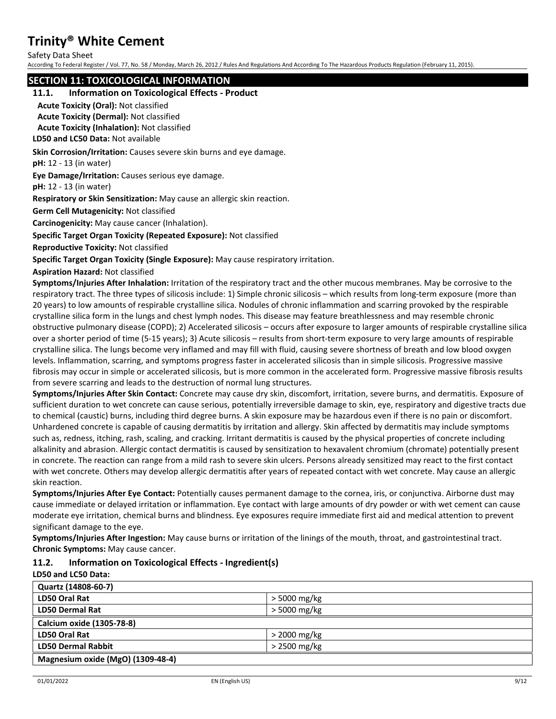Safety Data Sheet

According To Federal Register / Vol. 77, No. 58 / Monday, March 26, 2012 / Rules And Regulations And According To The Hazardous Products Regulation (February 11, 2015).

# **SECTION 11: TOXICOLOGICAL INFORMATION**

#### **11.1. Information on Toxicological Effects - Product**

**Acute Toxicity (Oral):** Not classified

**Acute Toxicity (Dermal):** Not classified

**Acute Toxicity (Inhalation):** Not classified

**LD50 and LC50 Data:** Not available

**Skin Corrosion/Irritation:** Causes severe skin burns and eye damage.

**pH:** 12 - 13 (in water)

**Eye Damage/Irritation:** Causes serious eye damage.

**pH:** 12 - 13 (in water)

**Respiratory or Skin Sensitization:** May cause an allergic skin reaction.

**Germ Cell Mutagenicity:** Not classified

**Carcinogenicity:** May cause cancer (Inhalation).

**Specific Target Organ Toxicity (Repeated Exposure):** Not classified

**Reproductive Toxicity:** Not classified

**Specific Target Organ Toxicity (Single Exposure):** May cause respiratory irritation.

**Aspiration Hazard:** Not classified

**Symptoms/Injuries After Inhalation:** Irritation of the respiratory tract and the other mucous membranes. May be corrosive to the respiratory tract. The three types of silicosis include: 1) Simple chronic silicosis – which results from long-term exposure (more than 20 years) to low amounts of respirable crystalline silica. Nodules of chronic inflammation and scarring provoked by the respirable crystalline silica form in the lungs and chest lymph nodes. This disease may feature breathlessness and may resemble chronic obstructive pulmonary disease (COPD); 2) Accelerated silicosis – occurs after exposure to larger amounts of respirable crystalline silica over a shorter period of time (5-15 years); 3) Acute silicosis – results from short-term exposure to very large amounts of respirable crystalline silica. The lungs become very inflamed and may fill with fluid, causing severe shortness of breath and low blood oxygen levels. Inflammation, scarring, and symptoms progress faster in accelerated silicosis than in simple silicosis. Progressive massive fibrosis may occur in simple or accelerated silicosis, but is more common in the accelerated form. Progressive massive fibrosis results from severe scarring and leads to the destruction of normal lung structures.

**Symptoms/Injuries After Skin Contact:** Concrete may cause dry skin, discomfort, irritation, severe burns, and dermatitis. Exposure of sufficient duration to wet concrete can cause serious, potentially irreversible damage to skin, eye, respiratory and digestive tracts due to chemical (caustic) burns, including third degree burns. A skin exposure may be hazardous even if there is no pain or discomfort. Unhardened concrete is capable of causing dermatitis by irritation and allergy. Skin affected by dermatitis may include symptoms such as, redness, itching, rash, scaling, and cracking. Irritant dermatitis is caused by the physical properties of concrete including alkalinity and abrasion. Allergic contact dermatitis is caused by sensitization to hexavalent chromium (chromate) potentially present in concrete. The reaction can range from a mild rash to severe skin ulcers. Persons already sensitized may react to the first contact with wet concrete. Others may develop allergic dermatitis after years of repeated contact with wet concrete. May cause an allergic skin reaction.

**Symptoms/Injuries After Eye Contact:** Potentially causes permanent damage to the cornea, iris, or conjunctiva. Airborne dust may cause immediate or delayed irritation or inflammation. Eye contact with large amounts of dry powder or with wet cement can cause moderate eye irritation, chemical burns and blindness. Eye exposures require immediate first aid and medical attention to prevent significant damage to the eye.

**Symptoms/Injuries After Ingestion:** May cause burns or irritation of the linings of the mouth, throat, and gastrointestinal tract. **Chronic Symptoms:** May cause cancer.

### **11.2. Information on Toxicological Effects - Ingredient(s)**

**LD50 and LC50 Data:**

| Quartz (14808-60-7)               |                |  |
|-----------------------------------|----------------|--|
| LD50 Oral Rat                     | $>$ 5000 mg/kg |  |
| <b>LD50 Dermal Rat</b>            | > 5000 mg/kg   |  |
| Calcium oxide (1305-78-8)         |                |  |
| LD50 Oral Rat                     | $>$ 2000 mg/kg |  |
| <b>LD50 Dermal Rabbit</b>         | $>$ 2500 mg/kg |  |
| Magnesium oxide (MgO) (1309-48-4) |                |  |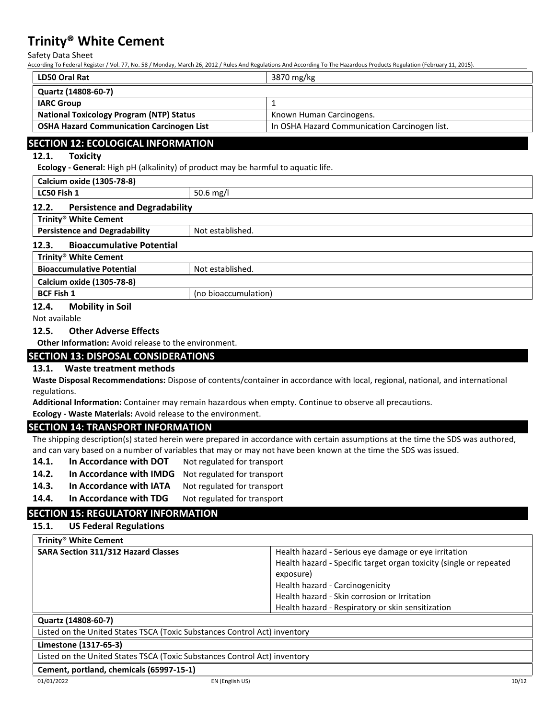Safety Data Sheet

According To Federal Register / Vol. 77, No. 58 / Monday, March 26, 2012 / Rules And Regulations And According To The Hazardous Products Regulation (February 11, 2015).

| <b>LD50 Oral Rat</b>                             | 3870 mg/kg                                    |  |
|--------------------------------------------------|-----------------------------------------------|--|
| Quartz (14808-60-7)                              |                                               |  |
| <b>IARC Group</b>                                |                                               |  |
| <b>National Toxicology Program (NTP) Status</b>  | Known Human Carcinogens.                      |  |
| <b>OSHA Hazard Communication Carcinogen List</b> | In OSHA Hazard Communication Carcinogen list. |  |
|                                                  |                                               |  |

# **SECTION 12: ECOLOGICAL INFORMATION**

### **12.1. Toxicity**

**Ecology - General:** High pH (alkalinity) of product may be harmful to aquatic life.

# **Calcium oxide (1305-78-8) LC50 Fish 1** 50.6 mg/l **12.2. Persistence and Degradability Trinity® White Cement Persistence and Degradability** Not established. **12.3. Bioaccumulative Potential Trinity® White Cement Bioaccumulative Potential Rightary Research Rightary Bioaccumulative Potential Rightary Rightary Rightary Rightary Rightary Rightary Rightary Rightary Rightary Rightary Rightary Rightary Rightary Rightary Rightary Rightar Calcium oxide (1305-78-8) BCF Fish 1** (no bioaccumulation)

# **12.4. Mobility in Soil**

Not available

### **12.5. Other Adverse Effects**

**Other Information:** Avoid release to the environment.

### **SECTION 13: DISPOSAL CONSIDERATIONS**

### **13.1. Waste treatment methods**

**Waste Disposal Recommendations:** Dispose of contents/container in accordance with local, regional, national, and international regulations.

**Additional Information:** Container may remain hazardous when empty. Continue to observe all precautions.

**Ecology - Waste Materials:** Avoid release to the environment.

### **SECTION 14: TRANSPORT INFORMATION**

The shipping description(s) stated herein were prepared in accordance with certain assumptions at the time the SDS was authored, and can vary based on a number of variables that may or may not have been known at the time the SDS was issued.

- **14.1.** In Accordance with DOT Not regulated for transport
- **14.2. In Accordance with IMDG** Not regulated for transport
- **14.3. In Accordance with IATA** Not regulated for transport
- **14.4.** In Accordance with TDG Not regulated for transport

# **SECTION 15: REGULATORY INFORMATION**

### **15.1. US Federal Regulations**

| Trinity <sup>®</sup> White Cement          |                                                                    |
|--------------------------------------------|--------------------------------------------------------------------|
| <b>SARA Section 311/312 Hazard Classes</b> | Health hazard - Serious eye damage or eye irritation               |
|                                            | Health hazard - Specific target organ toxicity (single or repeated |
|                                            | exposure)                                                          |
|                                            | Health hazard - Carcinogenicity                                    |
|                                            | Health hazard - Skin corrosion or Irritation                       |
|                                            | Health hazard - Respiratory or skin sensitization                  |

#### **Quartz (14808-60-7)**

Listed on the United States TSCA (Toxic Substances Control Act) inventory

#### **Limestone (1317-65-3)**

Listed on the United States TSCA (Toxic Substances Control Act) inventory

#### **Cement, portland, chemicals (65997-15-1)**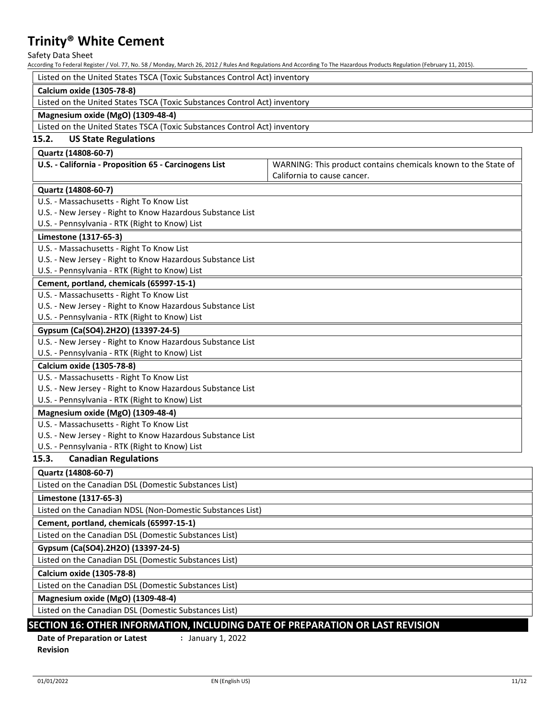Safety Data Sheet<br>According To Federal Regis

According To Federal Register / Vol. 77, No. 58 / Monday, March 26, 2012 / Rules And Regulations And According To The Hazardous Products Regulation (February 11, 2015).

| According To Federal Register / Vol. 77, No. 58 / Monday, March 26, 2012 / Rules And Regulations And According To The Hazardous Products Regulation (February 11, 2015). |                                                                |  |  |  |
|--------------------------------------------------------------------------------------------------------------------------------------------------------------------------|----------------------------------------------------------------|--|--|--|
| Listed on the United States TSCA (Toxic Substances Control Act) inventory                                                                                                |                                                                |  |  |  |
| <b>Calcium oxide (1305-78-8)</b>                                                                                                                                         |                                                                |  |  |  |
| Listed on the United States TSCA (Toxic Substances Control Act) inventory                                                                                                |                                                                |  |  |  |
| Magnesium oxide (MgO) (1309-48-4)                                                                                                                                        |                                                                |  |  |  |
| Listed on the United States TSCA (Toxic Substances Control Act) inventory                                                                                                |                                                                |  |  |  |
| 15.2.<br><b>US State Regulations</b>                                                                                                                                     |                                                                |  |  |  |
| Quartz (14808-60-7)                                                                                                                                                      |                                                                |  |  |  |
| U.S. - California - Proposition 65 - Carcinogens List                                                                                                                    | WARNING: This product contains chemicals known to the State of |  |  |  |
|                                                                                                                                                                          | California to cause cancer.                                    |  |  |  |
| Quartz (14808-60-7)                                                                                                                                                      |                                                                |  |  |  |
| U.S. - Massachusetts - Right To Know List                                                                                                                                |                                                                |  |  |  |
| U.S. - New Jersey - Right to Know Hazardous Substance List                                                                                                               |                                                                |  |  |  |
| U.S. - Pennsylvania - RTK (Right to Know) List                                                                                                                           |                                                                |  |  |  |
| Limestone (1317-65-3)                                                                                                                                                    |                                                                |  |  |  |
| U.S. - Massachusetts - Right To Know List                                                                                                                                |                                                                |  |  |  |
| U.S. - New Jersey - Right to Know Hazardous Substance List                                                                                                               |                                                                |  |  |  |
| U.S. - Pennsylvania - RTK (Right to Know) List                                                                                                                           |                                                                |  |  |  |
| Cement, portland, chemicals (65997-15-1)                                                                                                                                 |                                                                |  |  |  |
| U.S. - Massachusetts - Right To Know List                                                                                                                                |                                                                |  |  |  |
| U.S. - New Jersey - Right to Know Hazardous Substance List                                                                                                               |                                                                |  |  |  |
| U.S. - Pennsylvania - RTK (Right to Know) List                                                                                                                           |                                                                |  |  |  |
| Gypsum (Ca(SO4).2H2O) (13397-24-5)                                                                                                                                       |                                                                |  |  |  |
| U.S. - New Jersey - Right to Know Hazardous Substance List                                                                                                               |                                                                |  |  |  |
| U.S. - Pennsylvania - RTK (Right to Know) List                                                                                                                           |                                                                |  |  |  |
| Calcium oxide (1305-78-8)                                                                                                                                                |                                                                |  |  |  |
| U.S. - Massachusetts - Right To Know List                                                                                                                                |                                                                |  |  |  |
| U.S. - New Jersey - Right to Know Hazardous Substance List                                                                                                               |                                                                |  |  |  |
| U.S. - Pennsylvania - RTK (Right to Know) List                                                                                                                           |                                                                |  |  |  |
| Magnesium oxide (MgO) (1309-48-4)                                                                                                                                        |                                                                |  |  |  |
| U.S. - Massachusetts - Right To Know List                                                                                                                                |                                                                |  |  |  |
| U.S. - New Jersey - Right to Know Hazardous Substance List                                                                                                               |                                                                |  |  |  |
| U.S. - Pennsylvania - RTK (Right to Know) List                                                                                                                           |                                                                |  |  |  |
| 15.3.<br><b>Canadian Regulations</b>                                                                                                                                     |                                                                |  |  |  |
| Quartz (14808-60-7)                                                                                                                                                      |                                                                |  |  |  |
| Listed on the Canadian DSL (Domestic Substances List)                                                                                                                    |                                                                |  |  |  |
| Limestone (1317-65-3)                                                                                                                                                    |                                                                |  |  |  |
| Listed on the Canadian NDSL (Non-Domestic Substances List)                                                                                                               |                                                                |  |  |  |
| Cement, portland, chemicals (65997-15-1)                                                                                                                                 |                                                                |  |  |  |
| Listed on the Canadian DSL (Domestic Substances List)                                                                                                                    |                                                                |  |  |  |
| Gypsum (Ca(SO4).2H2O) (13397-24-5)                                                                                                                                       |                                                                |  |  |  |
| Listed on the Canadian DSL (Domestic Substances List)                                                                                                                    |                                                                |  |  |  |
| Calcium oxide (1305-78-8)                                                                                                                                                |                                                                |  |  |  |
| Listed on the Canadian DSL (Domestic Substances List)                                                                                                                    |                                                                |  |  |  |
|                                                                                                                                                                          |                                                                |  |  |  |
| Magnesium oxide (MgO) (1309-48-4)<br>Listed on the Canadian DSL (Domestic Substances List)                                                                               |                                                                |  |  |  |
|                                                                                                                                                                          |                                                                |  |  |  |
| SECTION 16: OTHER INFORMATION, INCLUDING DATE OF PREPARATION OR LAST REVISION                                                                                            |                                                                |  |  |  |
| <b>Date of Preparation or Latest</b><br>: January 1, 2022                                                                                                                |                                                                |  |  |  |

**Revision**